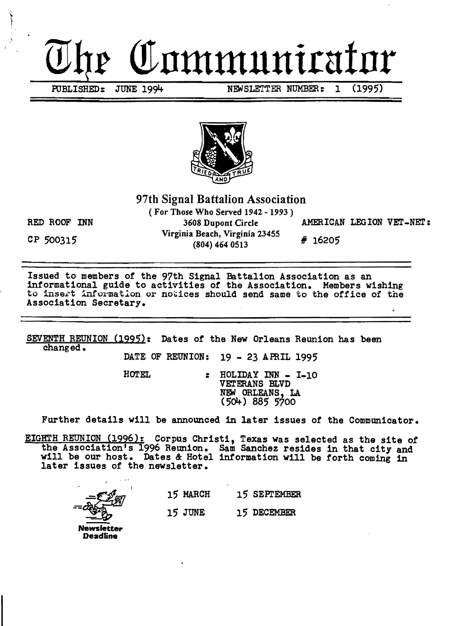# Communicator

PUBLISHED: JUNE 1994 NEWSLETTER NUMBER: 1 (1995)



97th Signal Battalion Association

( For Those Who Served 1942 - 1993 ) RED ROOF INN 3608 Dupont Circle AMERICAN LEGION VET-NET: CP 500315<br>CP 500315  $(804)$  464 0513  $\#$  16205

Issued to members of the 97th Signal Battalion Association as an informational guide to activities of the Association. Members wishing to insert information or notices should send same to the office of the Association Secretary.

SEVENTH REUNION (1995): Dates of the New Orleans Reunion has been changed.

DATE OF REUNION: 19 - 23 APRIL 1995

HOTEL : HOLIDAY INN - I-10 VETERANS BLVD NEN ORLEANS, LA

(501+) 885 5700

Further details will be announced in later issues of the Communicator.

EIGHTH REUNION (1996): Corpus Christi, Texas was selected as the site of the Association's 1996 Reunion. Sam Sanchez resides in that city and will be our host. Dates & Hotel information will be forth coming in later issues of the newsletter.

15 MARCH 15 SEPrEMBER 15 JUNE 15 DECEMBER

Newsletter Deadline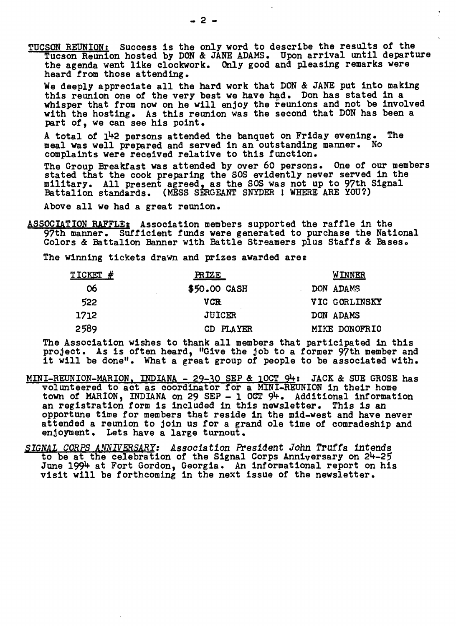TUCSON REUNION: Success is the only word to describe the results of the Tucson Reunion hosted by DON & JANE ADAMS. Upon arrival until departure the agenda went like clockwork. Only good and pleasing remarks were heard trom those attending.

We deeply appreciate all the hard work that DON & JANE put into making this reunion one *ot* the very best we have had. Don has stated in a whisper that from now on he will enjoy the reunions and not be involved with the hosting. As this reunion Was the second that DON has been a part *ot,* we can see his point.

A total of 142 persons attended the banquet on Friday evening. The meal was well prepared and served in an outstanding manner. No complaints were received relative to this tunction.

The Group Breakfast was attended by over 60 persons. One *ot* our members stated that the cook preparing the SOS evidently never served in the military. All present agreed, as the SOS was not up to 97th Signal Battalion standards. (MESS SERGEANT SNYDER I WHERE ARE YOU?)

Above all we had a great reunion.

ASSOCIATION RAFFLE; Association members supported the rattle in the 97th manner. Sufficient tunds were generated to purchase the National Colors & Battalion Banner with Battle Streamers plus Staffs & Bases.

The winning tickets drawn and prizes awarded are:

| TICKET # | <b>PRIZE</b>  | <b>WINNER</b> |
|----------|---------------|---------------|
| 06       | \$50.00 CASH  | DON ADAMS     |
| 522      | VCR.          | VIC GORLINSKY |
| 1712     | <b>JUICER</b> | DON ADAMS     |
| 2589     | CD PLAYER     | MIKE DONOFRIO |

The Association wishes to thank all members that participated in this project. As is often heard, "Give the job to a former 97th member and it will be done". What a great group of people to be associated with.

- MINI-REUNION-MARION. INDIANA 29-30 SEP & 10CT  $94$ : JACK & SUE GROSE has volunteered to act as coordinator for a MINI-REUNION in their home town of MARION, INDIANA on 29 SEP - 1 OCT 94. Additional information an registration form is included in this newsletter. This is an opportune time tor members that reside in the mid-west and have never attended a reunion to join us for a grand ole time *ot* comradeship and enjoyment. Lets have a large turnout.
- SIGNAL CORPS ANNIVERSARY: Association President John Truffa intends to be at the celebration *ot* the Signal Corps Anniversary on 24-2; June 1994 at Fort Gordon, Georgia. An informational report on his visit will be forthcoming in the next issue of the newsletter.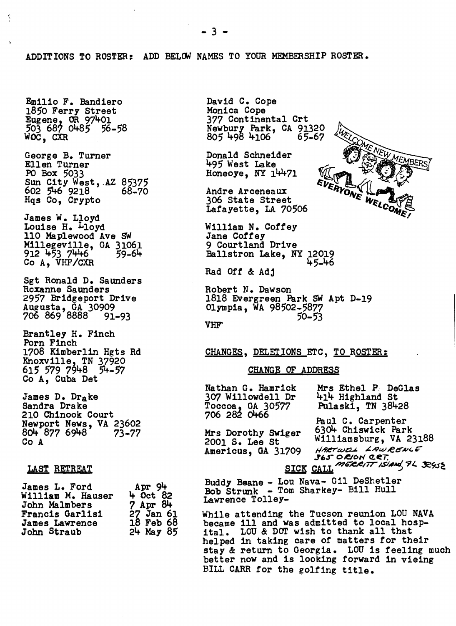ADDITIONS TO ROSTER: ADD BELCW NAMES TO YOUR MEMBERSHIP ROSTER.

Emilio F. Bandiero 1850 Ferry Street  $E$ ugene, OR 97401 503 687 0485 56-58 WOC, CXR

George B. Turner Ellen Turner PO Box 5033 Sun City West, AZ 85375<br>602 546 9218 68-70  $602$   $546$   $9218$ Hqs Co, Crypto

James W. Lloyd<br>Louise H. <del>L</del>loyd<br>110 Maplewood Ave SW Millegeville, GA 31061 912 453 7446 59-64 Co A, VHF/CXR

Sgt Ronald D. Saunders Roxanne Saunders 2957 Bridgeport Drive Augusta, GA 30909 706 869 8888 91-93

Brantley H. Finch Porn Finch 1708 Kimberlin Hgts Rd Knoxville, TN 37920 615 579 7948 54-57<br>Co A, Cuba Det

James D. Drake Sandra Drake 210 Chinook Court Newport News, VA 23602<br>804 877 6948 73-77 804 877 6948 Co A

#### LAST RETREAT

| James L. Ford          | Apr $94$      |  |
|------------------------|---------------|--|
| William M. Hauser      | $4$ Oct 82    |  |
| John Malmbers          | $7$ Apr $84$  |  |
| <b>Francis Garlisi</b> | 27 Jan 61     |  |
| <b>James Lawrence</b>  | 18 Feb 68     |  |
| John Straub            | $24$ May $85$ |  |

David C. Cope Monica Cope 377 Continental Crt Newbury Park, CA 91320 805 498 4106 6;-67

Donald Schneider 495 West Lake Honeoye,  $NY$   $14471$ 

Andre Arceneaux 306 State Street Lafayette, LA 70506

William N. Coffey<br>Jane Coffey<br>9 Courtland Drive Ballstron Lake, NY 12019 45-46

Bad Off & Adj

Robert N. Dawson 1818 Evergreen Park SW Apt D-19 Olympia, WA 98502-5877  $VHF$  50-53

#### CHANGES, DELETIONS ETC, TO ROSTER:

#### CHANGE OF ADDRESS

706 282 01+66 Paul C. Carpenter

Americus, GA 31709

Nathan G. Hamrick Mrs Ethel P DeGlas<br>307 Willowdell Dr 414 Highland St 414 Highland St<br>Pulaski, TN 38428 Toccoaj GA 30577 Pulaski, TN 38428

Paul C. Carpenter<br>Mrs Dorothy Swiger 6304 Chiswick Park<br>2001 S. Lee St Williamsburg, VA 2 Williamsburg, VA 23188<br>Harrwei LawRewce *J6S-* 0/&0'" c:tEJ: SICK CALL *MERRIT ISLAND* 74 32952

MEMBERS

Buddy Beane - Lou Nava- Gil DeShetler Bob Strunk - Tom Sharkey- Bill Hull Lawrence Tolley-

While attending the Tucson reunion LOU NAVA became ill and was admitted to local hosp-<br>ital. LOU & DOT wish to thank all that helped in taking care of matters for their stay & return to Georgia. LOU is feeling much better now and is looking forward in vieing BILL CARR for the golfing title.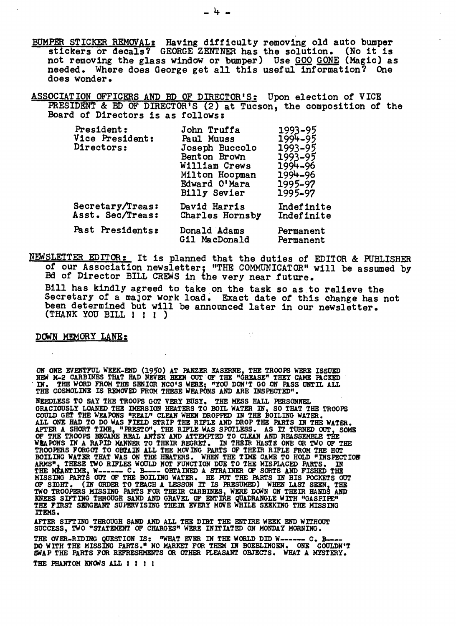BUMPER STICKER REMOVAL: Having difficulty removing old auto bumper stickers or decals? GEORGE ZENTNER has the solution. (No it is not removing the glass window or bamper) Use GOO GONE (Magic) as needed. Where does George get all this useful information? One does wonder.

ASSOCIATION OFFICERS AND ED OF DIRECTOR'S: Upon election of VICE PRESIDENT & ED OF DIRECTOR'S (2) at Tucson, the composition of the Board of Directors is as follows:

| President:<br>Vice President:<br>Directors: | John Truffa<br>Paul Muuss<br>Joseph Buccolo<br>Benton Brown<br>William Crews<br>Milton Hoopman<br>Edward O'Mara<br><b>Billy Sevier</b> | 1993-95<br>1994-95<br>1993-95<br>1993-95<br>1994-96<br>1994-96<br>1995-97<br>1995-97 |
|---------------------------------------------|----------------------------------------------------------------------------------------------------------------------------------------|--------------------------------------------------------------------------------------|
| Secretary/Treas:<br>Asst. Sec/Treas:        | David Harris<br>Charles Hornsby                                                                                                        | Indefinite<br>Indefinite                                                             |
| Past Presidents:                            | Donald Adams<br>Gil MacDonald                                                                                                          | Permanent<br>Permanent                                                               |

NEWSLETTER EDITOR: It is planned that the duties of EDITOR & POBLISHER *ot* our Association newsletter; "THE COMMUNICATOR" will be assumed by Ed of Director BILL CREWS in the very near tuture.

Bill has kindly agreed to take on the task so as to relieve the Secretary of a major work load. Exact date of this change has not been determined but will be announced later in our newsletter.<br>(THANK YOU BILL I I I )

 $\sim$   $\sim$ 

#### DCMN MEMORY LANE:

ON ONE EVENTFUL WEEK-END (1950) AT PANZER KASERNE, THE TROOPS WERE ISSUED<br>NEW M-2 CARBINES THAT HAD NEVER BEEN OUT OF THE "GREASE" THEY CAME PACKED<br>IN. THE WORD FROM THE SENIOR NCO'S WERE; "YOU DON'T GO ON PASS UNTIL ALL<br>T

NEEDLESS TO SAY THE TROOPS GOT VERY BUSY, THE MESS HALL PERSONNEL<br>GRACIOUSLY LOANED THE IMERSION HEATERS TO BOIL WATER IN, SO THAT THE TROOPS<br>COULD GET THE WEAPONS "REAL ON WHEN DROPPED IN THE BOILING WATER,<br>ALL ONE HAD TO MISSING PARTS OUT OF THE BOILING WATER. HE PUT THE PARTS IN HIS POCKETS OUT OF SIGHT. (IN ORDER TO TEACH A LESSON IT IS FRESUMED) WHEN LAST SEEN, THE TWO TROOPERS MISSING PARTS FOR THEIR CARBINES, WERE DOWN ON THEIR HANDS AND KNEES SIFTING THROUGH SAND AND GRAVEL OF ENTIRE QUADRANGLE WITH "GASPIPE ITEMS.

AFTER SIFTING THROUGH SAND AND ALL THE DIRT THE ENTIRE WEEK END WITHOUT SUCCESS, TWO "STATEMENT OF CHARGES" WERE INITIATED ON MONDAY MORNING.

THE OVER-RIDING QUESTION IS: "WHAT EVER IN THE WORLD DID W------ C. B---DO WITH THE MISSING PARTS." NO MARKET FOR THEM IN BOEBLINGEN. ONE COULDN'T<br>SWAP THE PARTS FOR REFRESHMENTS OR OTHER PLEASANT OBJECTS. WHAT A MYSTERY.

THE PHANTOM KNOWS ALL I I I I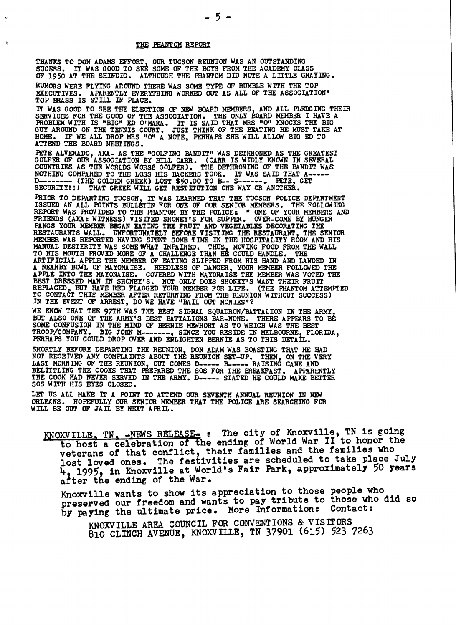#### THE PHANTOM REPORT

 $\ddot{\varepsilon}$ 

THANKS TO DON ADAMS EFFORT, OUR TUCSON REUNION WAS AN OUTSTANDING SUCESS. IT WAS GOOD TO SEE SOME OF THE BOYS FROM THE ACADEMY CLASS OF 1950 AT THE SHINDIG. ALTHOUGH THE PHANTOM DID NOTE A LITTLE GRAYING.

RUMORS WERE FLYING AROUND THERE WAS SOME TYPE OF RUMBLE WITH THE TOP EXECUTIVES. APARENTLY EVERYTHING WORKED OUT AS ALL OF THE ASSOCIATION' TOP BRASS IS STILL IN PLACE.

IT WAS GOOD TO SEE THE ELECTION OF *NEIl* BOARD MEMBERS AND ALL PLEDGING THEIR SERVICES FOR THE GOOD OF THE ASSOCIATION. THE ONLY BOARD MEMBER I HAVE A PROBLEM WITH IS "BIG" ED O'MARA. IT IS SAID THAT MRS "O" KNOCKS THE BIGGUY AROUND ON THE TENNIS COURT. JUST THINK OF THE BEATING HE MUST TAKE AT HOME ATTEND THE BOARD MEETINGS.

PETE ALVERADO, AKA- AS THE "GOLFING BANDIT" WAS DETHRONED AS THE GREATEST GOLFER OF OUR ASSOCIATION BY BILL CARR. (CARR IS WIDLY KNOWN IN SEVERAL COUNTRIES AS THE WORLDS WORSE GOLFER). THE DETHRONING OF THE BANDIT WAS NOTHING COMPARED TO THE LOSS HIS BACKERS TOOK. IT WAS SAID THAT A----D-------- (THE GOLDEN GREEK) LOST \$50.00 TO B-- S------. PETE, GET SECURITY!!! THAT GREEK WILL GET RESTITUTION ONE WAY OR ANOTHER.

**PRIOR TO DEPARTING TUCSON, IT WAS LEARNED THAT THE TUCSON POLICE DEPARTMENT**<br>ISSUED AN ALL POINTS BULLETIN FOR ONE OF OUR SENIOR MEMBERS. THE FOLLOW ING<br>REPORT WAS PROVIDED TO THE PHANTOM BY THE POLICE: " ONE OF YOUR MEMB MANUAL DESTERITY WAS SOME WHAT IMPAIRED. THUS, MOVING FOOD FROM THE WALL<br>TO HIS MOUTH PROVED MORE OF A CHALLENGE THAN HE COULD HANDLE. THE<br>ARTIFICIAL APPLE THE MEMBER OF EATING SLIPPED FROM HIS HAND AND LANDED IN<br>A NEARBY IN THE EVENT OF ARREST, DO WE HAVE "BAIL OUT MONIES"?

WE KNOW THAT THE 97TH WAS THE BEST SIGNAL SQUADRON/BATTALION IN THE ARMY, BUT ALSO ONE OF THE ARMY'S BEST BATTALIONS BAR-NONE. THERE APPEARS TO BE SOME CONFUSION IN THE MIND OF BERNIE MEWHORT AS TO WHICH WAS THE BEST<br>TROOP/COMPANY. BIG JOHN M-------, SINCE YOU RESIDE IN MELBOURNE, FLORIDA,<br>PERHAPS YOU COULD DROP OVER AND ENLIGHTEN BERNIE AS TO THIS DETAIL.

SHORTLY BEFORE DEPARTING THE REUNION, DON ADAM WAS BOASTING THAT HE HAD NOT RECEIVED ANY COMPLAINTS ABOUT THE REUNION SET-UP. THEN, ON THE VERY LAST MORNING OF THE REUNION, OUT COMES D----- B----- RAISING CANE AND BELITTLING THE COOKS THAT PREPARED THE SOS FOR THE BREAKFAST. APPARENTLY<br>THE COOK HAD NEVER SERVED IN THE ARMY. D----- STATED HE COULD MAKE BETTER SOS WITH HIS EYES CLOSED.

LET US ALL MAKE IT A POINT TO ATTEND OUR SEVENTH ANNUAL REUNION IN NEW ORLEANS. HOPEFULLY OUR SENIOR MEMBER THAT THE POLICE ARE SEARCHING FOR WILL BE OUT OF JAIL BY NEXT APRIL.

KNOXVILLE, TN, -NEWS RELEASE- : The city of Knoxville, TN is going to host a celebration of the ending of World War II to honor the veterans of that conflict, their families and the families who lost loved ones. The festivities are scheduled to take place July 4, 1995, in Knoxville at World's Fair Park, approximately 50 years after the ending of the War.

Knoxville wants to show its appreciation to those people who preserved our freedom and wants to pay tribute to those who did so by paying the ultimate price. More Information: Contact:

KNOXVILLE AREA COUNCIL FOR CONVENTIONS & VISITORS 810 CLINCH AVENUE, KNOXVILLE, TN 37901 (615) 523 7263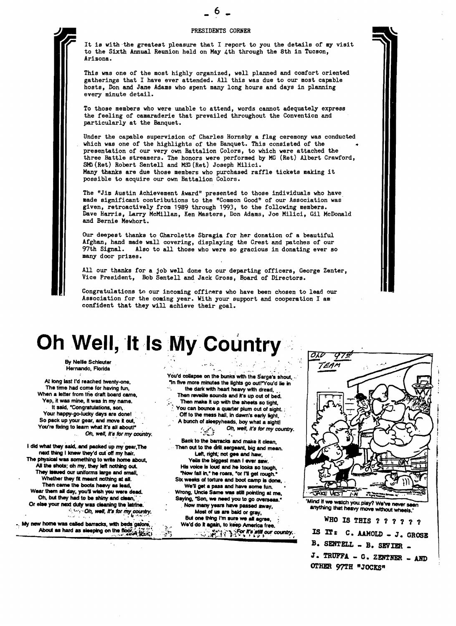#### PRESIDENTS CORNER



It is with 'the greatest pleasure that I report to you the details of my visit to the Sixth Annual Reunion held on May 4th through the 8th in Tucson, Arizona.

This vas one of the most highly organized, well planned and comfort oriented gatherings that I have ever attended. All this was due to our most capable hosts, Don and Jane Adams who spent many long hours and days in planning every minute detail.

To those members who were unable to attend, words cannot adequately express the feeling of camaraderie that prevailed throughout the Convention and particularly at the Banquet.

Under the capable supervision of Charles Hornsby a flag ceremony vas conducted which was one of the highlights of the Banquet. This consisted of the presentation of our very own Battalion Colors, to which were attached the three Battle streamers. The honors were performed by MG (Ret) Albert Crawford, SMG (Ret) Robert Sentell and MSG (Ret) Joseph Milici. Many thanks are due those members who purchased raffle tickets making it possible to acquire our own Battalion Colors.

The "Jim Austin Achievement Award" presented to those individuals who have, made significant contributions to the "Common Good" of our Association was giVen, retroactively from 1989 through 1993, to the following members. Dave Harris, Larry McMillan, Ken Masters, Don Adams, Joe Milici, Gil McDonald and Bernie Mewhort.

Our deepest thanks to Charo1ette Sbragia for her donation of a beautiful Afghan, hand made wall covering, displaying the Crest and patches of our 97th Signal. Also to all those who were so gracious in donating ever so many door prizes.

All our thanks for a job well done to our departing officers, George Zenter, Vice President, Bob Sentell and Jack Gross, Board of Directors.

Congratulations to our incoming officers who have been chosen to lead our Association for the coming year. With your support and cooperation I am confident that they will achieve their goal.

### Oh Well, It Is My Country

By Nellie Schleuter Hernando, Florida I ..., where the control of the control of the control of the control of the control of the control of the control of

The time had come for having fun, .,. the dark wiIh heart heavy with dread•• , Yep, it was mine, it was in my name.<br>It said, "Congratulations, son, You're fixing to learn what it's all about!"

I did what they said, and packed up my gear, The Then out to the drill sergeant, big and mean. next thing I knew they'd cut off my hair. The contract the first, right, not gee and haw, The physical was something to write home about,<br>All the shots; oh my, they left nothing out, They issued our uniforms large and small, They in the roars, "or I'll get rough."<br>Whether they fit meant nothing at all. Six weeks of torture and boot camp is done. Whether they fit meant nothing at all.<br>Then came the boots heavy as lead, Wear them all day, you'll wish you were dead.<br>Oh, but they had to be shiny and clean, Oh, but they had to be shiny and clean." ... Saying, "Son, we need you to go overseas.<br>Or else your next duty was cleaning the latrine. Now many years have passed away.

You'd collapse on the bunks with the Sarge's shout, ... AI long last I'd reached twenty-one, "In five more minutes the lights go out!"You'd lie in The time had come for having fun, Then reveille sounds and it's up out of bed. Then make it up with the sheets so tight. It said, "Congratulations, son, you can bounce a quarter plum out of sight ;<br>Your happy-go-lucky days are done! (Off to the mess hall, in dawn's early light Your happy-go-lucky days are done! . Off to the mess hall, in dawn's early light,<br>So pack up your gear, and move it out, . . . . . . . . A bunch of sleepyheads, boy what a sinhit A bunch of sleepyheads, boy what a sight! :'./';. Db, well, it's *for* my *COUnll'y.* Oh. well. It'II.'or my *coUntry, ........*,' Back to the barracks and make it clean. Yells the biggest man I ever saw. His voice is loud and he looks so tough, "Now fall in," he roars, "or I'll get rough." We'll get a pass and have some fun. We'll get a pass and have some fun.<br>Wrong, Uncle Same was still pointing at me,

or the correct dumy was determined the lattine.<br>
Now many years have passed away, and anything that heavy move without wheels.<br>
Subject Dh, well, it's for my country. Most of us are bald or gray, and anything that heavy mo But one thing I'm sure we all agree. WHO IS THIS ? ? ? ? ? ?<br>About as hard as sleeping on the floor, with beds galore.<br>About as hard as sleeping on the floor, with the fight is the state of the state our country. IS IT : C



B. SENTELL - B. SEVIER -J. TRUFFA - G. ZENTNER - AND OTHER 97TH "JOCKS"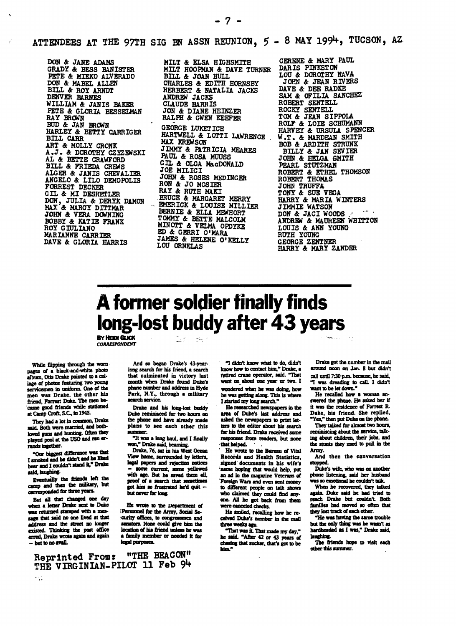ATTENDEES AT THE 97TH SIG BN ASSN REUNION,  $5 - 8$  MAY 199<sup>1</sup>, TUCSON, AZ.

 $-7 -$ 

DON & JANE ADAMS GRADY & BESS BANISTER PETE & MIEKO ALVERADO DON &: MABEL ALLEN BILL &: ROY ARNDT DENVER BARNES WILLIAM & JANIS BAKER PETE & GLORIA BESSELMAN RAY BROWN BUD & JAN BROWN HARLEY &: BETTY CARRIGER **BILL CARR** ART &: MOLLY CRONK A.J. & DOROTHY CZYZEWSKI AL &: BETTE CRAWFORD BILL & FRIEDA CREWS ALGER &: JANIS CHEVALIER ANGELO &: LILO DEMOPOLIS FORREST DECKER GIL & MI DESHETLER DON, JULIA &: DERYX DAMON MAX &: MARGY DITTMAR JOHN & VERA DOWNING BOBBY &: KATIE FRANK ROY GIULIANO MARIANNE CARRIER DAVE &: GLORIA BARRIS

HILT &: ELSA HIGHSMITH HILT HOOPMAN &: DAVE TURNER BILL &: JOAN BULL CHARLES & EDITH HORNSBY HERBERT &: NATALIA JACKS ANDREW JACKS CLAUDE HARRIS JON &: DIANE HEIRZER RALPH &: GWEN KEEFER GEORGE LUXETICB HARTWELL & LOTTI LAWRENCE **MAX KREWSON** JIMMY &: PATR ICIA MEARES PAUL &: ROSA MUUSS  $GIL$  & OLGA MacDONALD JOE MILICI JOHN & ROSES MEDINGER RON &: JO MOSIER RAY & RUTH MAKI **ERUCE & MARGARET MERRY** EMERICK & LOUISE MILLIER BERNIE &: ELLA. MiWHORT TOMMY & BETTE MALCOLM MINOTT & VELMA OPDYKE ED & GERRI O'MARA<br>JAMES & HELENE O'KELLY LOU ORNELAS

CERENE &: MARY PAUL DARIS PINKSTON LOU & DOROTHY NAVA JOPN & JEAN RIVERS DAVE &: DEE RADKE SAM & OFILIA SANCHEZ ROBERT SENTELL ROCKY SENTELL TOM &: JEAN SIPPOLA. ROLF & LOIE SCHUMANN HARVEY &: URSULA. SPENCER W.T. & MARDEAN SMITH BOB &: ARDITH STRUNK BILLY & JAN SEVIER JOHN.&: HELGA. SMITH PEARL STUTZMAN ROBERT & ETHEL THOMSON ROBERT THOMAS JOHN TRUFFA TONY &: SUE VEGA HARRY & MARIA WINTERS JIMMIE WATSON DON & JACI WOODS ANDREW & MAUREEN WHITTON LOUIS &: ANN YOUNG RUTH YOUNG GEORGE ZENTNER HARRY &: MARY ZANDER

### **Aformer soldier finally finds long-lost buddy after 43 years**

BY IfEIDI GucK **CORRESPONDENT** 

Reprinted From: "THE BEACON" THE VIRGINIAN-PILOT 11 Feb 94

While flipping through the worn-<br>pages of a black-and-white photo album. Otis Drake pointed to a collage of photos featuring two young servicemen in uniform. One of the men was Drake, the other his friend, Forrest Duke. The men became good friends while stationed at Camp Croft, S.C., in 1945.

They had a lot in common, Drake They had a *lot* in common, *Drame*<br>said. Both were married, and both-<br>loved guns and bunting. Often they<br>played pool at the USO and ran erplayed pool at the USO and ran er-

"Our biggest difference was that I smoked and he didn't and he liked beer and I couldn't stand it." Drake asid, Isushing.

Eventually the friends left the camp and then the military, but corresponded for three years.

But all that changed one day<br>when a letter Druke sent to Duke was returned stamped with a message that said no one lived at that address and the street no longer existed. Thinking the post office erred, Drake wrote again and again<br>- but to no avail.

And so began Drake's 43-yearlong search for his friend, a search that culminated in victory last month when Drake found Duke's

نبين

phone number and address in Hyde Park, N.Y., through a military search service. Drake and his long-lost buddy Duke reminisced for two hours on

the phone and have already made<br>plans to see each other this summer.<br>"It was a long haul, and I finally

won," Drake said, beaming. Drake, 76, sat in his West Ocean

View home, surrounded by letters, legal papers and rejection notices some current, some yellowed with age. But he saved them all, proof of a search that sometimes got him so frustrated he'd quit but never for long.

He wrote to the Department of Personnel for the Army, Social Se-~CUriIJ aIJIces, to and senators. None could give him the location of his friend unless he was a family member or needed it for

"I didn't know what to do, didn't<br>know how to contact him," Drake, a retired crane operator, said. "That went on about one year or two. I wondered what he was doing, how he was getting along. This is where I started my long search."

He researched newspapers in the area of Dub's last address and asked the newspapers to print letters to the editor about his search for his friend. Drake received some responses from readers, but none that helped.

He wrote to the Bureau of Vital Records and Health Statistics, signed documents in his wife's name hoping that would help, put an ad in the magazine Veterans of Foreign Wars and even sent money to different people on talk shows who claimed they could find anyone. All he got back from them<br>were canceled checks.<br>He smiled, recalling how he re-

ceived Duke's number in the mail three weeks ago.

"That was it. That made my day," he said. "After 42 or 43 years of JauchiDI. - but to .,aftiL iIpl purpIIIIIS. cbIIIIlIIc that 1UCker. dIat'. act to be TIle fIieadI bape to visit ac:h

Drake got the number in the mail around noon on Jan. 8 but didn't call until 7:30 p.m. because, he said, "I was dreading to call. I didn't<br>want to be let down."

He recalled how a woman answered the phone. He asked her if it was the residence of Forrest R. Duke, his friend. She replied, "Yes," then put Duke on the phone.

They talked for almost two hours, reminiscing about the service, talkreminiscing about the service, taking<br>ing about children, their jobs, and<br>the stunts they used to pull in the<br>Amou Amry.

And then the conversation stopped.

Duke's wife, who was on another phone listening, said her husband was so emotional he couldn't talk.

When he recovered, they talked again. Duke said he had tried to reach Drake but couldn't. Both families had moved so often that<br>they lost track of each other.

"He was having the same trouble but the only thing was he wasn't as hardheaded as I was," Drake said.<br>Jaughing.

other this summer.

 $\mathcal{L}$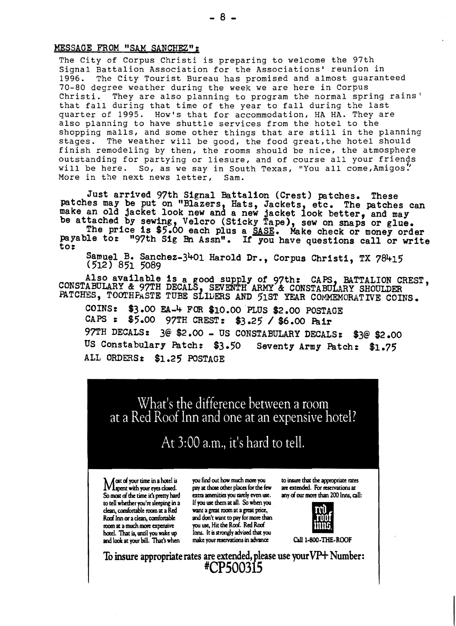#### MESSAGE FROM "SAM SANCHEZ";

The City of Corpus Christi is preparing to welcome the 97th Signal Battalion Association for the Associations' reunion in<br>1996. The City Tourist Bureau has promised and almost guaran The City Tourist Bureau has promised and almost guaranteed 70-80 degree weather during the week we are here in Corpus Christi. They are also planning to program the normal spring rains $<sup>3</sup>$ </sup> that fall during that time of the year to fall during the last quarter of 1995. How·s that for accommodation, HA HA. They are also planning to have shuttle services from the hotel to the shopping malls, and some other things that are still in the planning stages. The weather will be good, the food great,the hotel should finish remodeling by then, the rooms should be nice, the atmosphere outstanding for partying or liesure, and of course all your friends<br>will be here. So, as we say in South Texas, "You all come, Amigos" So, as we say in South Texas, "You all come,Amigos."<br>xt news letter, Sam. More in the next news letter,

Just arrived 97th Signal Battalion (Crest) patches. These patches may be put on "Blazers, Hats, Jackets, etc. The patches can make an old jacket look new and a new jacket look better, and may be attached by sewing, Velcro (Sticky Tape), sew on snaps or glue.<br>The price is \$5.00 each plus a SASE. Make check or money order

payable to: "97th Sig Bn Assn". If you have questions call or write to:

Samuel B. Sanchez-3401 Harold Dr., Corpus Christi, TX 78415  $(512)$  851 5089

Also available is a good supply of 97th: CAPS, BATTALION CREST, CONSTABULARY & 97TH DECALS, SEVENTH ARMY & CONSTABULARY SHOULDER<br>PATCHES, TOOTHPASTE TUBE SLIDERS AND 51ST YEAR COMMEMORATIVE COINS.

COINS:  $$3.00$  EA-4 FOR \$10.00 PLUS \$2.00 POSTAGE<br>CAPS:  $$5.00$  97TH CREST: \$3.25 / \$6.00 Poin \$5.00 97TH CREST: \$3.25 / \$6.00 Pair 97TH DECALS: 3@ \$2.00 - US CONSTABULARY DECALS: \$3@ \$2.00 US Constabulary Patch: \$3.50 Seventy Army Patch: \$1.75 ALL ORDERS: \$1.25' POSTAGE

What's the difference between a room at a Red Roof Inn and one at an expensive hotel?

### At 3:00 a.m., it's hard to tell.

clean, comfortable room at a Red<br>Roof Inn or a clean, comfortable hotel. That is, until you wake up room at a much more expensive

\ A ost of your time in a hotel is you find out how much more you to insure that the appropriate rates 1Vlspent with your eyes doled. pay at those other places for the few are extended. For reservations at IV I spent with your eyes closed. pay at those other places for the few are extended. For reservations at So most of the time it's pretty hard extra amenities you rarely even use. any of our more than 200 Inns, call: to tell whether you're sleeping in a If you use them at all. So when you .<br>clean, comfortable room at a Red want a great room at a great price, and don't want to pay for more than you use, Hit the Roof. Red Roof Inns. It is strongly advised that and look at your bill. That's when make your reservations in advance Call 1-800-THE-ROOF



To insure appropriate rates are extended, please use your  $VP+$  Number: 'CP500315